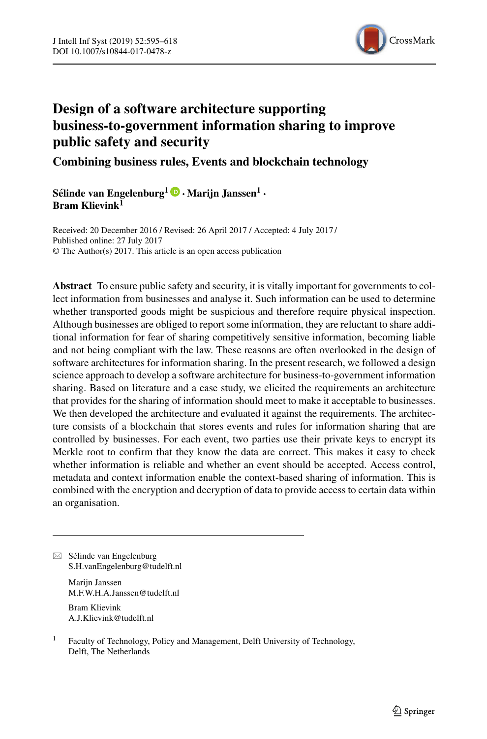

# **Design of a software architecture supporting business-to-government information sharing to improve public safety and security**

**Combining business rules, Events and blockchain technology**

 $S\acute{e}$ linde van Engelenburg<sup>1</sup> $\bullet$  • Marijn Janssen<sup>1</sup> • **Bram Klievink<sup>1</sup>**

Received: 20 December 2016 / Revised: 26 April 2017 / Accepted: 4 July 2017 / © The Author(s) 2017. This article is an open access publication Published online: 27 July 2017

**Abstract** To ensure public safety and security, it is vitally important for governments to collect information from businesses and analyse it. Such information can be used to determine whether transported goods might be suspicious and therefore require physical inspection. Although businesses are obliged to report some information, they are reluctant to share additional information for fear of sharing competitively sensitive information, becoming liable and not being compliant with the law. These reasons are often overlooked in the design of software architectures for information sharing. In the present research, we followed a design science approach to develop a software architecture for business-to-government information sharing. Based on literature and a case study, we elicited the requirements an architecture that provides for the sharing of information should meet to make it acceptable to businesses. We then developed the architecture and evaluated it against the requirements. The architecture consists of a blockchain that stores events and rules for information sharing that are controlled by businesses. For each event, two parties use their private keys to encrypt its Merkle root to confirm that they know the data are correct. This makes it easy to check whether information is reliable and whether an event should be accepted. Access control, metadata and context information enable the context-based sharing of information. This is combined with the encryption and decryption of data to provide access to certain data within an organisation.

 $\boxtimes$  Sélinde van Engelenburg [S.H.vanEngelenburg@tudelft.nl](mailto:S.H.vanEngelenburg@tudelft.nl)

> Marijn Janssen [M.F.W.H.A.Janssen@tudelft.nl](mailto:M.F.W.H.A.Janssen@tudelft.nl)

Bram Klievink [A.J.Klievink@tudelft.nl](mailto:A.J.Klievink@tudelft.nl)

<sup>1</sup> Faculty of Technology, Policy and Management, Delft University of Technology, Delft, The Netherlands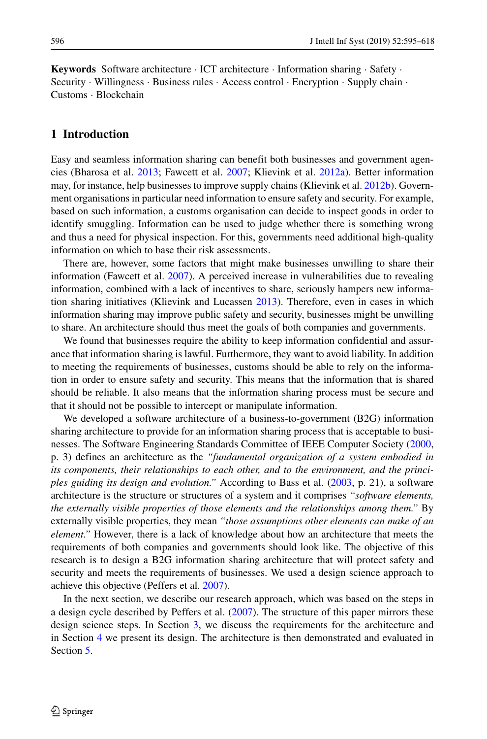**Keywords** Software architecture · ICT architecture · Information sharing · Safety · Security · Willingness · Business rules · Access control · Encryption · Supply chain · Customs · Blockchain

# **1 Introduction**

Easy and seamless information sharing can benefit both businesses and government agencies (Bharosa et al. [2013;](#page-21-0) Fawcett et al. [2007;](#page-22-0) Klievink et al. [2012a\)](#page-22-1). Better information may, for instance, help businesses to improve supply chains (Klievink et al. [2012b\)](#page-22-2). Government organisations in particular need information to ensure safety and security. For example, based on such information, a customs organisation can decide to inspect goods in order to identify smuggling. Information can be used to judge whether there is something wrong and thus a need for physical inspection. For this, governments need additional high-quality information on which to base their risk assessments.

There are, however, some factors that might make businesses unwilling to share their information (Fawcett et al. [2007\)](#page-22-0). A perceived increase in vulnerabilities due to revealing information, combined with a lack of incentives to share, seriously hampers new informa-tion sharing initiatives (Klievink and Lucassen [2013\)](#page-22-3). Therefore, even in cases in which information sharing may improve public safety and security, businesses might be unwilling to share. An architecture should thus meet the goals of both companies and governments.

We found that businesses require the ability to keep information confidential and assurance that information sharing is lawful. Furthermore, they want to avoid liability. In addition to meeting the requirements of businesses, customs should be able to rely on the information in order to ensure safety and security. This means that the information that is shared should be reliable. It also means that the information sharing process must be secure and that it should not be possible to intercept or manipulate information.

We developed a software architecture of a business-to-government (B2G) information sharing architecture to provide for an information sharing process that is acceptable to businesses. The Software Engineering Standards Committee of IEEE Computer Society [\(2000,](#page-23-0) p. 3) defines an architecture as the *"fundamental organization of a system embodied in its components, their relationships to each other, and to the environment, and the principles guiding its design and evolution."* According to Bass et al. [\(2003,](#page-21-1) p. 21), a software architecture is the structure or structures of a system and it comprises *"software elements, the externally visible properties of those elements and the relationships among them."* By externally visible properties, they mean *"those assumptions other elements can make of an element."* However, there is a lack of knowledge about how an architecture that meets the requirements of both companies and governments should look like. The objective of this research is to design a B2G information sharing architecture that will protect safety and security and meets the requirements of businesses. We used a design science approach to achieve this objective (Peffers et al. [2007\)](#page-23-1).

In the next section, we describe our research approach, which was based on the steps in a design cycle described by Peffers et al. [\(2007\)](#page-23-1). The structure of this paper mirrors these design science steps. In Section [3,](#page-3-0) we discuss the requirements for the architecture and in Section [4](#page-7-0) we present its design. The architecture is then demonstrated and evaluated in Section [5.](#page-16-0)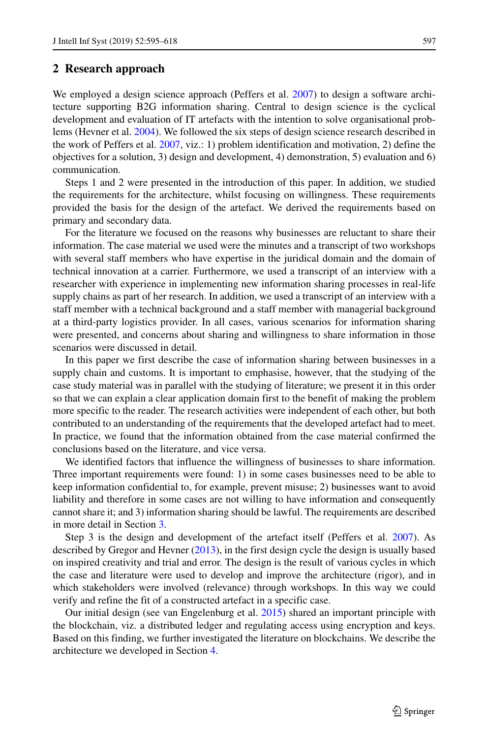# **2 Research approach**

We employed a design science approach (Peffers et al. [2007\)](#page-23-1) to design a software architecture supporting B2G information sharing. Central to design science is the cyclical development and evaluation of IT artefacts with the intention to solve organisational problems (Hevner et al. [2004\)](#page-22-4). We followed the six steps of design science research described in the work of Peffers et al. [2007,](#page-23-1) viz.: 1) problem identification and motivation, 2) define the objectives for a solution, 3) design and development, 4) demonstration, 5) evaluation and 6) communication.

Steps 1 and 2 were presented in the introduction of this paper. In addition, we studied the requirements for the architecture, whilst focusing on willingness. These requirements provided the basis for the design of the artefact. We derived the requirements based on primary and secondary data.

For the literature we focused on the reasons why businesses are reluctant to share their information. The case material we used were the minutes and a transcript of two workshops with several staff members who have expertise in the juridical domain and the domain of technical innovation at a carrier. Furthermore, we used a transcript of an interview with a researcher with experience in implementing new information sharing processes in real-life supply chains as part of her research. In addition, we used a transcript of an interview with a staff member with a technical background and a staff member with managerial background at a third-party logistics provider. In all cases, various scenarios for information sharing were presented, and concerns about sharing and willingness to share information in those scenarios were discussed in detail.

In this paper we first describe the case of information sharing between businesses in a supply chain and customs. It is important to emphasise, however, that the studying of the case study material was in parallel with the studying of literature; we present it in this order so that we can explain a clear application domain first to the benefit of making the problem more specific to the reader. The research activities were independent of each other, but both contributed to an understanding of the requirements that the developed artefact had to meet. In practice, we found that the information obtained from the case material confirmed the conclusions based on the literature, and vice versa.

We identified factors that influence the willingness of businesses to share information. Three important requirements were found: 1) in some cases businesses need to be able to keep information confidential to, for example, prevent misuse; 2) businesses want to avoid liability and therefore in some cases are not willing to have information and consequently cannot share it; and 3) information sharing should be lawful. The requirements are described in more detail in Section [3.](#page-3-0)

Step 3 is the design and development of the artefact itself (Peffers et al. [2007\)](#page-23-1). As described by Gregor and Hevner [\(2013\)](#page-22-5), in the first design cycle the design is usually based on inspired creativity and trial and error. The design is the result of various cycles in which the case and literature were used to develop and improve the architecture (rigor), and in which stakeholders were involved (relevance) through workshops. In this way we could verify and refine the fit of a constructed artefact in a specific case.

Our initial design (see van Engelenburg et al. [2015\)](#page-23-2) shared an important principle with the blockchain, viz. a distributed ledger and regulating access using encryption and keys. Based on this finding, we further investigated the literature on blockchains. We describe the architecture we developed in Section [4.](#page-7-0)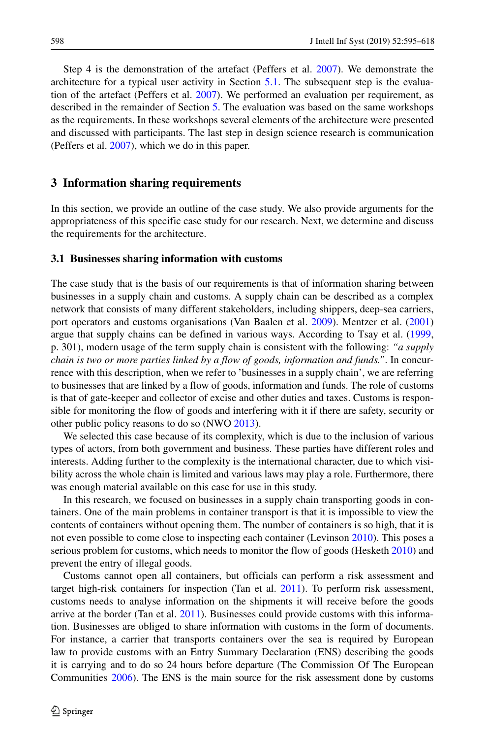Step 4 is the demonstration of the artefact (Peffers et al. [2007\)](#page-23-1). We demonstrate the architecture for a typical user activity in Section [5.1.](#page-16-1) The subsequent step is the evaluation of the artefact (Peffers et al. [2007\)](#page-23-1). We performed an evaluation per requirement, as described in the remainder of Section [5.](#page-16-0) The evaluation was based on the same workshops as the requirements. In these workshops several elements of the architecture were presented and discussed with participants. The last step in design science research is communication (Peffers et al. [2007\)](#page-23-1), which we do in this paper.

# <span id="page-3-0"></span>**3 Information sharing requirements**

In this section, we provide an outline of the case study. We also provide arguments for the appropriateness of this specific case study for our research. Next, we determine and discuss the requirements for the architecture.

## **3.1 Businesses sharing information with customs**

The case study that is the basis of our requirements is that of information sharing between businesses in a supply chain and customs. A supply chain can be described as a complex network that consists of many different stakeholders, including shippers, deep-sea carriers, port operators and customs organisations (Van Baalen et al. [2009\)](#page-23-3). Mentzer et al. [\(2001\)](#page-23-4) argue that supply chains can be defined in various ways. According to Tsay et al. [\(1999,](#page-23-5) p. 301), modern usage of the term supply chain is consistent with the following: *"a supply chain is two or more parties linked by a flow of goods, information and funds."*. In concurrence with this description, when we refer to 'businesses in a supply chain', we are referring to businesses that are linked by a flow of goods, information and funds. The role of customs is that of gate-keeper and collector of excise and other duties and taxes. Customs is responsible for monitoring the flow of goods and interfering with it if there are safety, security or other public policy reasons to do so (NWO [2013\)](#page-23-6).

We selected this case because of its complexity, which is due to the inclusion of various types of actors, from both government and business. These parties have different roles and interests. Adding further to the complexity is the international character, due to which visibility across the whole chain is limited and various laws may play a role. Furthermore, there was enough material available on this case for use in this study.

In this research, we focused on businesses in a supply chain transporting goods in containers. One of the main problems in container transport is that it is impossible to view the contents of containers without opening them. The number of containers is so high, that it is not even possible to come close to inspecting each container (Levinson [2010\)](#page-22-6). This poses a serious problem for customs, which needs to monitor the flow of goods (Hesketh [2010\)](#page-22-7) and prevent the entry of illegal goods.

Customs cannot open all containers, but officials can perform a risk assessment and target high-risk containers for inspection (Tan et al. [2011\)](#page-23-7). To perform risk assessment, customs needs to analyse information on the shipments it will receive before the goods arrive at the border (Tan et al. [2011\)](#page-23-7). Businesses could provide customs with this information. Businesses are obliged to share information with customs in the form of documents. For instance, a carrier that transports containers over the sea is required by European law to provide customs with an Entry Summary Declaration (ENS) describing the goods it is carrying and to do so 24 hours before departure (The Commission Of The European Communities [2006\)](#page-23-8). The ENS is the main source for the risk assessment done by customs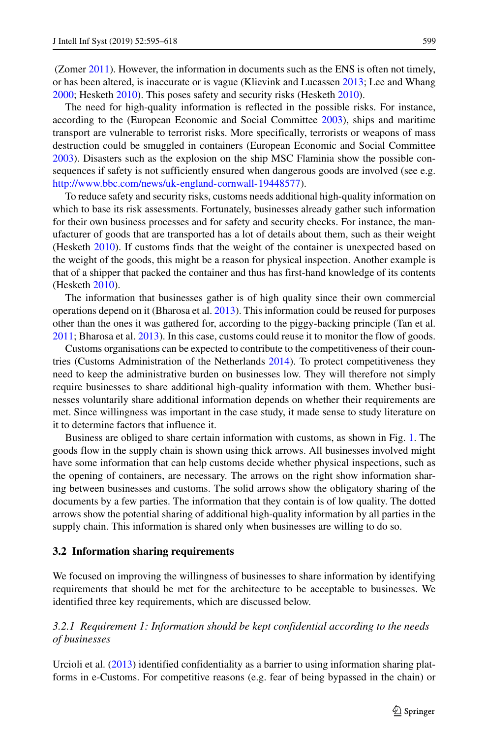(Zomer [2011\)](#page-23-9). However, the information in documents such as the ENS is often not timely, or has been altered, is inaccurate or is vague (Klievink and Lucassen [2013;](#page-22-3) Lee and Whang [2000;](#page-22-8) Hesketh [2010\)](#page-22-7). This poses safety and security risks (Hesketh [2010\)](#page-22-7).

The need for high-quality information is reflected in the possible risks. For instance, according to the (European Economic and Social Committee [2003\)](#page-22-9), ships and maritime transport are vulnerable to terrorist risks. More specifically, terrorists or weapons of mass destruction could be smuggled in containers (European Economic and Social Committee [2003\)](#page-22-9). Disasters such as the explosion on the ship MSC Flaminia show the possible consequences if safety is not sufficiently ensured when dangerous goods are involved (see e.g. [http://www.bbc.com/news/uk-england-cornwall-19448577\)](http://www.bbc.com/news/uk-england-cornwall-19448577).

To reduce safety and security risks, customs needs additional high-quality information on which to base its risk assessments. Fortunately, businesses already gather such information for their own business processes and for safety and security checks. For instance, the manufacturer of goods that are transported has a lot of details about them, such as their weight (Hesketh [2010\)](#page-22-7). If customs finds that the weight of the container is unexpected based on the weight of the goods, this might be a reason for physical inspection. Another example is that of a shipper that packed the container and thus has first-hand knowledge of its contents (Hesketh [2010\)](#page-22-7).

The information that businesses gather is of high quality since their own commercial operations depend on it (Bharosa et al. [2013\)](#page-21-0). This information could be reused for purposes other than the ones it was gathered for, according to the piggy-backing principle (Tan et al. [2011;](#page-23-7) Bharosa et al. [2013\)](#page-21-0). In this case, customs could reuse it to monitor the flow of goods.

Customs organisations can be expected to contribute to the competitiveness of their countries (Customs Administration of the Netherlands [2014\)](#page-22-10). To protect competitiveness they need to keep the administrative burden on businesses low. They will therefore not simply require businesses to share additional high-quality information with them. Whether businesses voluntarily share additional information depends on whether their requirements are met. Since willingness was important in the case study, it made sense to study literature on it to determine factors that influence it.

Business are obliged to share certain information with customs, as shown in Fig. [1.](#page-5-0) The goods flow in the supply chain is shown using thick arrows. All businesses involved might have some information that can help customs decide whether physical inspections, such as the opening of containers, are necessary. The arrows on the right show information sharing between businesses and customs. The solid arrows show the obligatory sharing of the documents by a few parties. The information that they contain is of low quality. The dotted arrows show the potential sharing of additional high-quality information by all parties in the supply chain. This information is shared only when businesses are willing to do so.

#### <span id="page-4-1"></span>**3.2 Information sharing requirements**

We focused on improving the willingness of businesses to share information by identifying requirements that should be met for the architecture to be acceptable to businesses. We identified three key requirements, which are discussed below.

# <span id="page-4-0"></span>*3.2.1 Requirement 1: Information should be kept confidential according to the needs of businesses*

Urcioli et al. [\(2013\)](#page-23-10) identified confidentiality as a barrier to using information sharing platforms in e-Customs. For competitive reasons (e.g. fear of being bypassed in the chain) or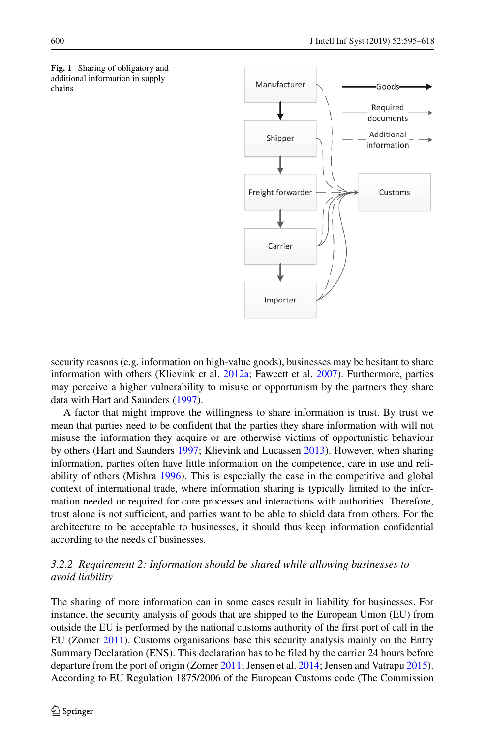<span id="page-5-0"></span>



security reasons (e.g. information on high-value goods), businesses may be hesitant to share information with others (Klievink et al. [2012a;](#page-22-1) Fawcett et al. [2007\)](#page-22-0). Furthermore, parties may perceive a higher vulnerability to misuse or opportunism by the partners they share data with Hart and Saunders [\(1997\)](#page-22-11).

A factor that might improve the willingness to share information is trust. By trust we mean that parties need to be confident that the parties they share information with will not misuse the information they acquire or are otherwise victims of opportunistic behaviour by others (Hart and Saunders [1997;](#page-22-11) Klievink and Lucassen [2013\)](#page-22-3). However, when sharing information, parties often have little information on the competence, care in use and reliability of others (Mishra [1996\)](#page-23-11). This is especially the case in the competitive and global context of international trade, where information sharing is typically limited to the information needed or required for core processes and interactions with authorities. Therefore, trust alone is not sufficient, and parties want to be able to shield data from others. For the architecture to be acceptable to businesses, it should thus keep information confidential according to the needs of businesses.

# <span id="page-5-1"></span>*3.2.2 Requirement 2: Information should be shared while allowing businesses to avoid liability*

The sharing of more information can in some cases result in liability for businesses. For instance, the security analysis of goods that are shipped to the European Union (EU) from outside the EU is performed by the national customs authority of the first port of call in the EU (Zomer [2011\)](#page-23-9). Customs organisations base this security analysis mainly on the Entry Summary Declaration (ENS). This declaration has to be filed by the carrier 24 hours before departure from the port of origin (Zomer [2011;](#page-23-9) Jensen et al. [2014;](#page-22-12) Jensen and Vatrapu [2015\)](#page-22-13). According to EU Regulation 1875/2006 of the European Customs code (The Commission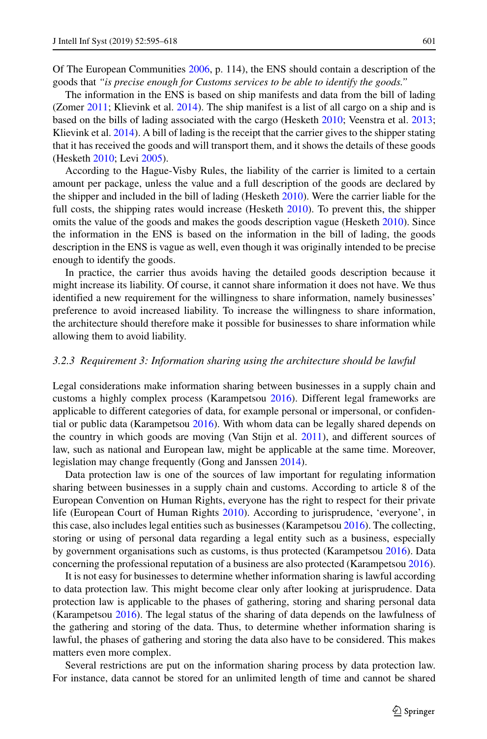Of The European Communities [2006,](#page-23-8) p. 114), the ENS should contain a description of the goods that *"is precise enough for Customs services to be able to identify the goods."*

The information in the ENS is based on ship manifests and data from the bill of lading (Zomer [2011;](#page-23-9) Klievink et al. [2014\)](#page-22-14). The ship manifest is a list of all cargo on a ship and is based on the bills of lading associated with the cargo (Hesketh [2010;](#page-22-7) Veenstra et al. [2013;](#page-23-12) Klievink et al. [2014\)](#page-22-14). A bill of lading is the receipt that the carrier gives to the shipper stating that it has received the goods and will transport them, and it shows the details of these goods (Hesketh [2010;](#page-22-7) Levi [2005\)](#page-22-15).

According to the Hague-Visby Rules, the liability of the carrier is limited to a certain amount per package, unless the value and a full description of the goods are declared by the shipper and included in the bill of lading (Hesketh [2010\)](#page-22-7). Were the carrier liable for the full costs, the shipping rates would increase (Hesketh [2010\)](#page-22-7). To prevent this, the shipper omits the value of the goods and makes the goods description vague (Hesketh [2010\)](#page-22-7). Since the information in the ENS is based on the information in the bill of lading, the goods description in the ENS is vague as well, even though it was originally intended to be precise enough to identify the goods.

In practice, the carrier thus avoids having the detailed goods description because it might increase its liability. Of course, it cannot share information it does not have. We thus identified a new requirement for the willingness to share information, namely businesses' preference to avoid increased liability. To increase the willingness to share information, the architecture should therefore make it possible for businesses to share information while allowing them to avoid liability.

#### <span id="page-6-0"></span>*3.2.3 Requirement 3: Information sharing using the architecture should be lawful*

Legal considerations make information sharing between businesses in a supply chain and customs a highly complex process (Karampetsou [2016\)](#page-22-16). Different legal frameworks are applicable to different categories of data, for example personal or impersonal, or confidential or public data (Karampetsou [2016\)](#page-22-16). With whom data can be legally shared depends on the country in which goods are moving (Van Stijn et al. [2011\)](#page-23-13), and different sources of law, such as national and European law, might be applicable at the same time. Moreover, legislation may change frequently (Gong and Janssen [2014\)](#page-22-17).

Data protection law is one of the sources of law important for regulating information sharing between businesses in a supply chain and customs. According to article 8 of the European Convention on Human Rights, everyone has the right to respect for their private life (European Court of Human Rights [2010\)](#page-22-18). According to jurisprudence, 'everyone', in this case, also includes legal entities such as businesses (Karampetsou [2016\)](#page-22-16). The collecting, storing or using of personal data regarding a legal entity such as a business, especially by government organisations such as customs, is thus protected (Karampetsou [2016\)](#page-22-16). Data concerning the professional reputation of a business are also protected (Karampetsou [2016\)](#page-22-16).

It is not easy for businesses to determine whether information sharing is lawful according to data protection law. This might become clear only after looking at jurisprudence. Data protection law is applicable to the phases of gathering, storing and sharing personal data (Karampetsou [2016\)](#page-22-16). The legal status of the sharing of data depends on the lawfulness of the gathering and storing of the data. Thus, to determine whether information sharing is lawful, the phases of gathering and storing the data also have to be considered. This makes matters even more complex.

Several restrictions are put on the information sharing process by data protection law. For instance, data cannot be stored for an unlimited length of time and cannot be shared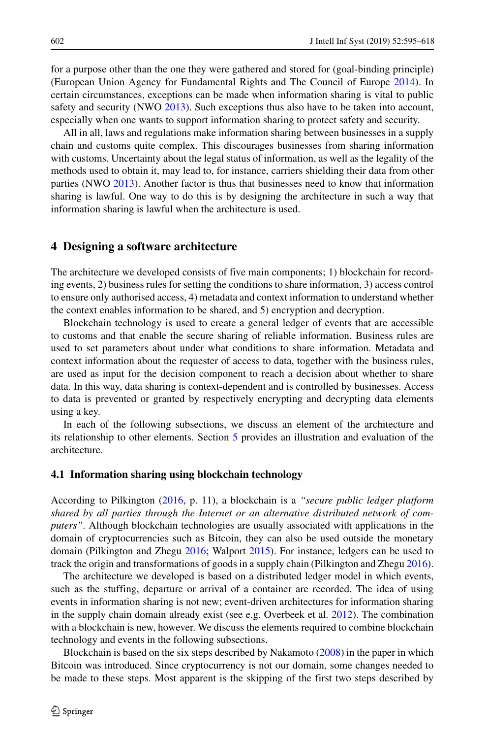for a purpose other than the one they were gathered and stored for (goal-binding principle) (European Union Agency for Fundamental Rights and The Council of Europe [2014\)](#page-22-19). In certain circumstances, exceptions can be made when information sharing is vital to public safety and security (NWO [2013\)](#page-23-6). Such exceptions thus also have to be taken into account, especially when one wants to support information sharing to protect safety and security.

All in all, laws and regulations make information sharing between businesses in a supply chain and customs quite complex. This discourages businesses from sharing information with customs. Uncertainty about the legal status of information, as well as the legality of the methods used to obtain it, may lead to, for instance, carriers shielding their data from other parties (NWO [2013\)](#page-23-6). Another factor is thus that businesses need to know that information sharing is lawful. One way to do this is by designing the architecture in such a way that information sharing is lawful when the architecture is used.

# <span id="page-7-0"></span>**4 Designing a software architecture**

The architecture we developed consists of five main components; 1) blockchain for recording events, 2) business rules for setting the conditions to share information, 3) access control to ensure only authorised access, 4) metadata and context information to understand whether the context enables information to be shared, and 5) encryption and decryption.

Blockchain technology is used to create a general ledger of events that are accessible to customs and that enable the secure sharing of reliable information. Business rules are used to set parameters about under what conditions to share information. Metadata and context information about the requester of access to data, together with the business rules, are used as input for the decision component to reach a decision about whether to share data. In this way, data sharing is context-dependent and is controlled by businesses. Access to data is prevented or granted by respectively encrypting and decrypting data elements using a key.

In each of the following subsections, we discuss an element of the architecture and its relationship to other elements. Section [5](#page-16-0) provides an illustration and evaluation of the architecture.

## **4.1 Information sharing using blockchain technology**

According to Pilkington [\(2016,](#page-23-14) p. 11), a blockchain is a *"secure public ledger platform shared by all parties through the Internet or an alternative distributed network of computers"*. Although blockchain technologies are usually associated with applications in the domain of cryptocurrencies such as Bitcoin, they can also be used outside the monetary domain (Pilkington and Zhegu [2016;](#page-23-14) Walport [2015\)](#page-23-15). For instance, ledgers can be used to track the origin and transformations of goods in a supply chain (Pilkington and Zhegu [2016\)](#page-23-14).

The architecture we developed is based on a distributed ledger model in which events, such as the stuffing, departure or arrival of a container are recorded. The idea of using events in information sharing is not new; event-driven architectures for information sharing in the supply chain domain already exist (see e.g. Overbeek et al. [2012\)](#page-23-16). The combination with a blockchain is new, however. We discuss the elements required to combine blockchain technology and events in the following subsections.

Blockchain is based on the six steps described by Nakamoto [\(2008\)](#page-23-17) in the paper in which Bitcoin was introduced. Since cryptocurrency is not our domain, some changes needed to be made to these steps. Most apparent is the skipping of the first two steps described by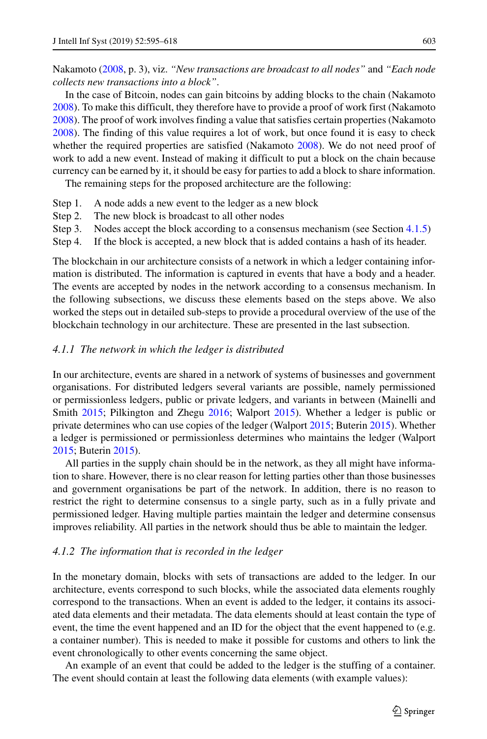Nakamoto [\(2008,](#page-23-17) p. 3), viz. *"New transactions are broadcast to all nodes"* and *"Each node collects new transactions into a block"*.

In the case of Bitcoin, nodes can gain bitcoins by adding blocks to the chain (Nakamoto [2008\)](#page-23-17). To make this difficult, they therefore have to provide a proof of work first (Nakamoto [2008\)](#page-23-17). The proof of work involves finding a value that satisfies certain properties (Nakamoto [2008\)](#page-23-17). The finding of this value requires a lot of work, but once found it is easy to check whether the required properties are satisfied (Nakamoto [2008\)](#page-23-17). We do not need proof of work to add a new event. Instead of making it difficult to put a block on the chain because currency can be earned by it, it should be easy for parties to add a block to share information.

The remaining steps for the proposed architecture are the following:

- Step 1. A node adds a new event to the ledger as a new block
- Step 2. The new block is broadcast to all other nodes
- Step 3. Nodes accept the block according to a consensus mechanism (see Section [4.1.5\)](#page-11-0)
- Step 4. If the block is accepted, a new block that is added contains a hash of its header.

The blockchain in our architecture consists of a network in which a ledger containing information is distributed. The information is captured in events that have a body and a header. The events are accepted by nodes in the network according to a consensus mechanism. In the following subsections, we discuss these elements based on the steps above. We also worked the steps out in detailed sub-steps to provide a procedural overview of the use of the blockchain technology in our architecture. These are presented in the last subsection.

## *4.1.1 The network in which the ledger is distributed*

In our architecture, events are shared in a network of systems of businesses and government organisations. For distributed ledgers several variants are possible, namely permissioned or permissionless ledgers, public or private ledgers, and variants in between (Mainelli and Smith [2015;](#page-23-18) Pilkington and Zhegu [2016;](#page-23-14) Walport [2015\)](#page-23-15). Whether a ledger is public or private determines who can use copies of the ledger (Walport [2015;](#page-23-15) Buterin [2015\)](#page-22-20). Whether a ledger is permissioned or permissionless determines who maintains the ledger (Walport [2015;](#page-23-15) Buterin [2015\)](#page-22-20).

All parties in the supply chain should be in the network, as they all might have information to share. However, there is no clear reason for letting parties other than those businesses and government organisations be part of the network. In addition, there is no reason to restrict the right to determine consensus to a single party, such as in a fully private and permissioned ledger. Having multiple parties maintain the ledger and determine consensus improves reliability. All parties in the network should thus be able to maintain the ledger.

#### *4.1.2 The information that is recorded in the ledger*

In the monetary domain, blocks with sets of transactions are added to the ledger. In our architecture, events correspond to such blocks, while the associated data elements roughly correspond to the transactions. When an event is added to the ledger, it contains its associated data elements and their metadata. The data elements should at least contain the type of event, the time the event happened and an ID for the object that the event happened to (e.g. a container number). This is needed to make it possible for customs and others to link the event chronologically to other events concerning the same object.

An example of an event that could be added to the ledger is the stuffing of a container. The event should contain at least the following data elements (with example values):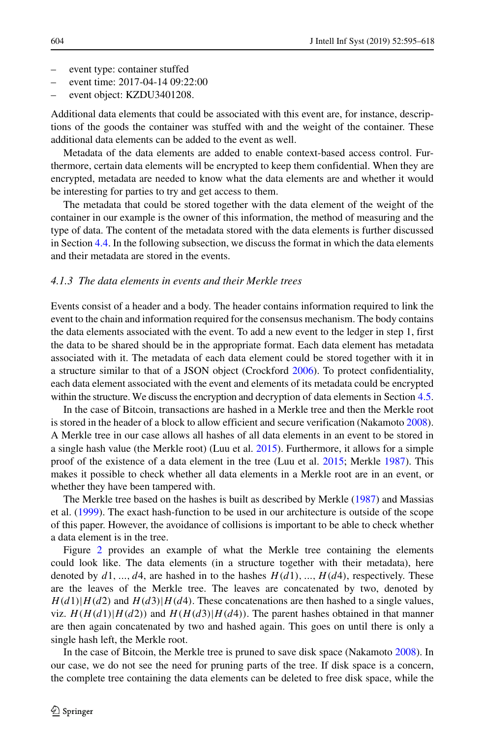- event type: container stuffed
- event time: 2017-04-14 09:22:00
- event object: KZDU3401208.

Additional data elements that could be associated with this event are, for instance, descriptions of the goods the container was stuffed with and the weight of the container. These additional data elements can be added to the event as well.

Metadata of the data elements are added to enable context-based access control. Furthermore, certain data elements will be encrypted to keep them confidential. When they are encrypted, metadata are needed to know what the data elements are and whether it would be interesting for parties to try and get access to them.

The metadata that could be stored together with the data element of the weight of the container in our example is the owner of this information, the method of measuring and the type of data. The content of the metadata stored with the data elements is further discussed in Section [4.4.](#page-15-0) In the following subsection, we discuss the format in which the data elements and their metadata are stored in the events.

# *4.1.3 The data elements in events and their Merkle trees*

Events consist of a header and a body. The header contains information required to link the event to the chain and information required for the consensus mechanism. The body contains the data elements associated with the event. To add a new event to the ledger in step 1, first the data to be shared should be in the appropriate format. Each data element has metadata associated with it. The metadata of each data element could be stored together with it in a structure similar to that of a JSON object (Crockford [2006\)](#page-22-21). To protect confidentiality, each data element associated with the event and elements of its metadata could be encrypted within the structure. We discuss the encryption and decryption of data elements in Section [4.5.](#page-16-2)

In the case of Bitcoin, transactions are hashed in a Merkle tree and then the Merkle root is stored in the header of a block to allow efficient and secure verification (Nakamoto [2008\)](#page-23-17). A Merkle tree in our case allows all hashes of all data elements in an event to be stored in a single hash value (the Merkle root) (Luu et al. [2015\)](#page-22-22). Furthermore, it allows for a simple proof of the existence of a data element in the tree (Luu et al. [2015;](#page-22-22) Merkle [1987\)](#page-23-19). This makes it possible to check whether all data elements in a Merkle root are in an event, or whether they have been tampered with.

The Merkle tree based on the hashes is built as described by Merkle [\(1987\)](#page-23-19) and Massias et al. [\(1999\)](#page-23-20). The exact hash-function to be used in our architecture is outside of the scope of this paper. However, the avoidance of collisions is important to be able to check whether a data element is in the tree.

Figure [2](#page-10-0) provides an example of what the Merkle tree containing the elements could look like. The data elements (in a structure together with their metadata), here denoted by  $d1, ..., d4$ , are hashed in to the hashes  $H(d1), ..., H(d4)$ , respectively. These are the leaves of the Merkle tree. The leaves are concatenated by two, denoted by  $H(d1)|H(d2)$  and  $H(d3)|H(d4)$ . These concatenations are then hashed to a single values, viz.  $H(H(d1)|H(d2))$  and  $H(H(d3)|H(d4))$ . The parent hashes obtained in that manner are then again concatenated by two and hashed again. This goes on until there is only a single hash left, the Merkle root.

In the case of Bitcoin, the Merkle tree is pruned to save disk space (Nakamoto [2008\)](#page-23-17). In our case, we do not see the need for pruning parts of the tree. If disk space is a concern, the complete tree containing the data elements can be deleted to free disk space, while the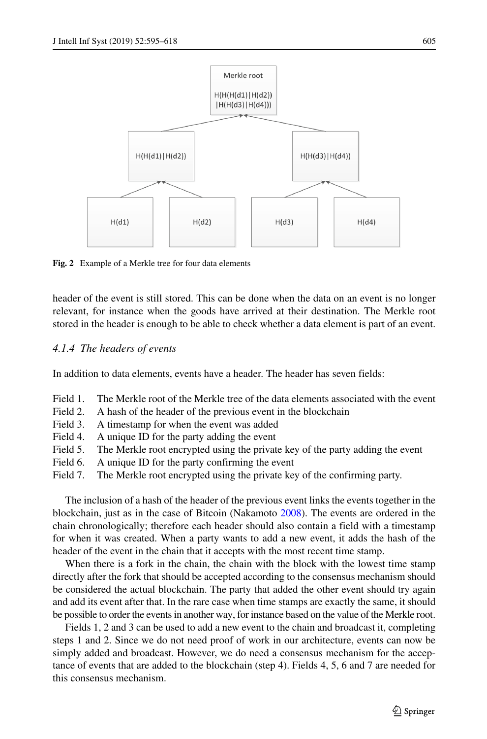<span id="page-10-0"></span>

**Fig. 2** Example of a Merkle tree for four data elements

header of the event is still stored. This can be done when the data on an event is no longer relevant, for instance when the goods have arrived at their destination. The Merkle root stored in the header is enough to be able to check whether a data element is part of an event.

#### *4.1.4 The headers of events*

In addition to data elements, events have a header. The header has seven fields:

- Field 1. The Merkle root of the Merkle tree of the data elements associated with the event
- Field 2. A hash of the header of the previous event in the blockchain
- Field 3. A timestamp for when the event was added
- Field 4. A unique ID for the party adding the event
- Field 5. The Merkle root encrypted using the private key of the party adding the event
- Field 6. A unique ID for the party confirming the event
- Field 7. The Merkle root encrypted using the private key of the confirming party.

The inclusion of a hash of the header of the previous event links the events together in the blockchain, just as in the case of Bitcoin (Nakamoto [2008\)](#page-23-17). The events are ordered in the chain chronologically; therefore each header should also contain a field with a timestamp for when it was created. When a party wants to add a new event, it adds the hash of the header of the event in the chain that it accepts with the most recent time stamp.

When there is a fork in the chain, the chain with the block with the lowest time stamp directly after the fork that should be accepted according to the consensus mechanism should be considered the actual blockchain. The party that added the other event should try again and add its event after that. In the rare case when time stamps are exactly the same, it should be possible to order the events in another way, for instance based on the value of the Merkle root.

Fields 1, 2 and 3 can be used to add a new event to the chain and broadcast it, completing steps 1 and 2. Since we do not need proof of work in our architecture, events can now be simply added and broadcast. However, we do need a consensus mechanism for the acceptance of events that are added to the blockchain (step 4). Fields 4, 5, 6 and 7 are needed for this consensus mechanism.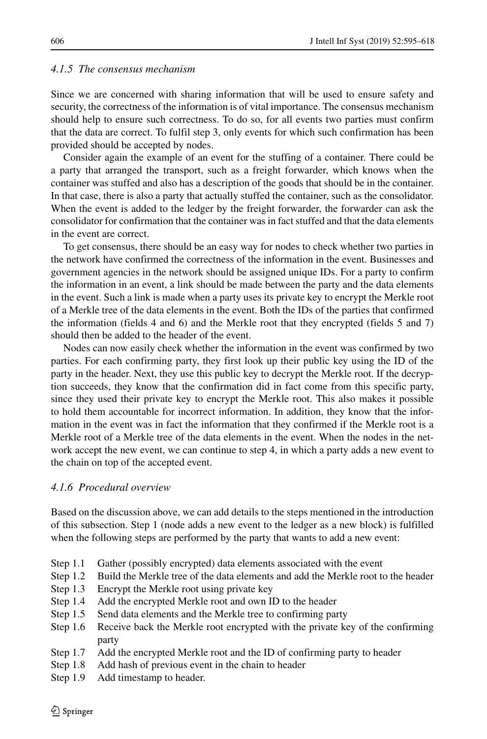## <span id="page-11-0"></span>*4.1.5 The consensus mechanism*

Since we are concerned with sharing information that will be used to ensure safety and security, the correctness of the information is of vital importance. The consensus mechanism should help to ensure such correctness. To do so, for all events two parties must confirm that the data are correct. To fulfil step 3, only events for which such confirmation has been provided should be accepted by nodes.

Consider again the example of an event for the stuffing of a container. There could be a party that arranged the transport, such as a freight forwarder, which knows when the container was stuffed and also has a description of the goods that should be in the container. In that case, there is also a party that actually stuffed the container, such as the consolidator. When the event is added to the ledger by the freight forwarder, the forwarder can ask the consolidator for confirmation that the container was in fact stuffed and that the data elements in the event are correct.

To get consensus, there should be an easy way for nodes to check whether two parties in the network have confirmed the correctness of the information in the event. Businesses and government agencies in the network should be assigned unique IDs. For a party to confirm the information in an event, a link should be made between the party and the data elements in the event. Such a link is made when a party uses its private key to encrypt the Merkle root of a Merkle tree of the data elements in the event. Both the IDs of the parties that confirmed the information (fields 4 and 6) and the Merkle root that they encrypted (fields 5 and 7) should then be added to the header of the event.

Nodes can now easily check whether the information in the event was confirmed by two parties. For each confirming party, they first look up their public key using the ID of the party in the header. Next, they use this public key to decrypt the Merkle root. If the decryption succeeds, they know that the confirmation did in fact come from this specific party, since they used their private key to encrypt the Merkle root. This also makes it possible to hold them accountable for incorrect information. In addition, they know that the information in the event was in fact the information that they confirmed if the Merkle root is a Merkle root of a Merkle tree of the data elements in the event. When the nodes in the network accept the new event, we can continue to step 4, in which a party adds a new event to the chain on top of the accepted event.

## <span id="page-11-1"></span>*4.1.6 Procedural overview*

Based on the discussion above, we can add details to the steps mentioned in the introduction of this subsection. Step 1 (node adds a new event to the ledger as a new block) is fulfilled when the following steps are performed by the party that wants to add a new event:

- Step 1.1 Gather (possibly encrypted) data elements associated with the event
- Step 1.2 Build the Merkle tree of the data elements and add the Merkle root to the header
- Step 1.3 Encrypt the Merkle root using private key
- Step 1.4 Add the encrypted Merkle root and own ID to the header
- Step 1.5 Send data elements and the Merkle tree to confirming party
- Step 1.6 Receive back the Merkle root encrypted with the private key of the confirming party
- Step 1.7 Add the encrypted Merkle root and the ID of confirming party to header
- Step 1.8 Add hash of previous event in the chain to header
- Step 1.9 Add timestamp to header.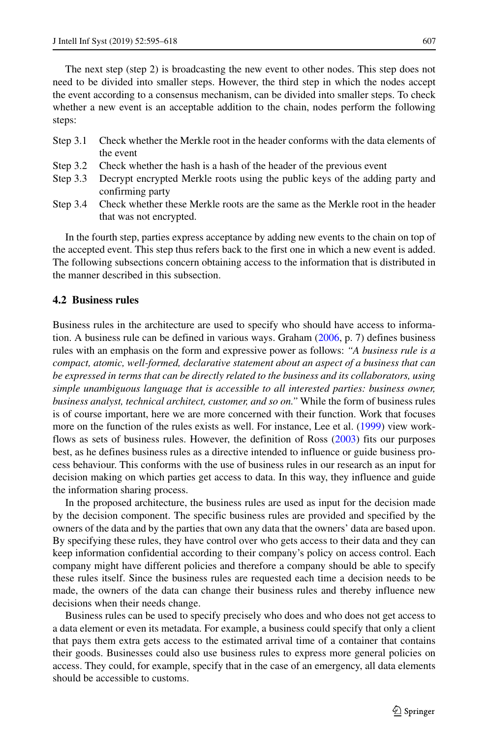The next step (step 2) is broadcasting the new event to other nodes. This step does not need to be divided into smaller steps. However, the third step in which the nodes accept the event according to a consensus mechanism, can be divided into smaller steps. To check whether a new event is an acceptable addition to the chain, nodes perform the following steps:

- Step 3.1 Check whether the Merkle root in the header conforms with the data elements of the event
- Step 3.2 Check whether the hash is a hash of the header of the previous event
- Step 3.3 Decrypt encrypted Merkle roots using the public keys of the adding party and confirming party
- Step 3.4 Check whether these Merkle roots are the same as the Merkle root in the header that was not encrypted.

In the fourth step, parties express acceptance by adding new events to the chain on top of the accepted event. This step thus refers back to the first one in which a new event is added. The following subsections concern obtaining access to the information that is distributed in the manner described in this subsection.

# <span id="page-12-0"></span>**4.2 Business rules**

Business rules in the architecture are used to specify who should have access to information. A business rule can be defined in various ways. Graham [\(2006,](#page-22-23) p. 7) defines business rules with an emphasis on the form and expressive power as follows: *"A business rule is a compact, atomic, well-formed, declarative statement about an aspect of a business that can be expressed in terms that can be directly related to the business and its collaborators, using simple unambiguous language that is accessible to all interested parties: business owner, business analyst, technical architect, customer, and so on."* While the form of business rules is of course important, here we are more concerned with their function. Work that focuses more on the function of the rules exists as well. For instance, Lee et al. [\(1999\)](#page-22-24) view workflows as sets of business rules. However, the definition of Ross [\(2003\)](#page-23-21) fits our purposes best, as he defines business rules as a directive intended to influence or guide business process behaviour. This conforms with the use of business rules in our research as an input for decision making on which parties get access to data. In this way, they influence and guide the information sharing process.

In the proposed architecture, the business rules are used as input for the decision made by the decision component. The specific business rules are provided and specified by the owners of the data and by the parties that own any data that the owners' data are based upon. By specifying these rules, they have control over who gets access to their data and they can keep information confidential according to their company's policy on access control. Each company might have different policies and therefore a company should be able to specify these rules itself. Since the business rules are requested each time a decision needs to be made, the owners of the data can change their business rules and thereby influence new decisions when their needs change.

Business rules can be used to specify precisely who does and who does not get access to a data element or even its metadata. For example, a business could specify that only a client that pays them extra gets access to the estimated arrival time of a container that contains their goods. Businesses could also use business rules to express more general policies on access. They could, for example, specify that in the case of an emergency, all data elements should be accessible to customs.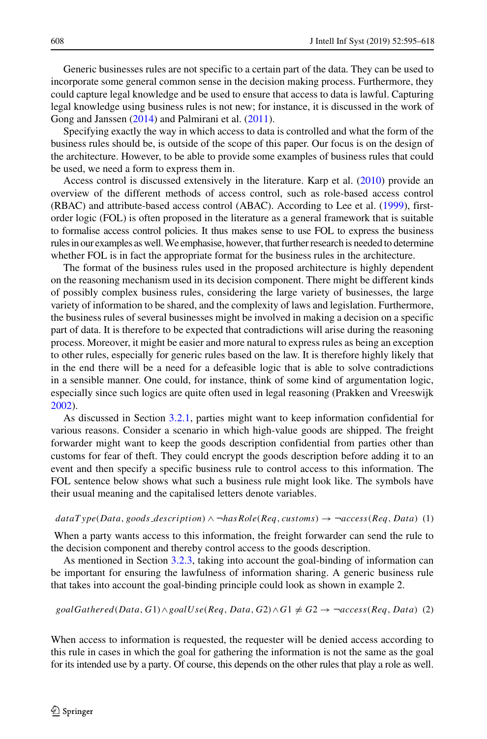Generic businesses rules are not specific to a certain part of the data. They can be used to incorporate some general common sense in the decision making process. Furthermore, they could capture legal knowledge and be used to ensure that access to data is lawful. Capturing legal knowledge using business rules is not new; for instance, it is discussed in the work of Gong and Janssen [\(2014\)](#page-22-17) and Palmirani et al. [\(2011\)](#page-23-22).

Specifying exactly the way in which access to data is controlled and what the form of the business rules should be, is outside of the scope of this paper. Our focus is on the design of the architecture. However, to be able to provide some examples of business rules that could be used, we need a form to express them in.

Access control is discussed extensively in the literature. Karp et al. [\(2010\)](#page-22-25) provide an overview of the different methods of access control, such as role-based access control (RBAC) and attribute-based access control (ABAC). According to Lee et al. [\(1999\)](#page-22-24), firstorder logic (FOL) is often proposed in the literature as a general framework that is suitable to formalise access control policies. It thus makes sense to use FOL to express the business rulesin our examples as well.We emphasise, however, that further research is needed to determine whether FOL is in fact the appropriate format for the business rules in the architecture.

The format of the business rules used in the proposed architecture is highly dependent on the reasoning mechanism used in its decision component. There might be different kinds of possibly complex business rules, considering the large variety of businesses, the large variety of information to be shared, and the complexity of laws and legislation. Furthermore, the business rules of several businesses might be involved in making a decision on a specific part of data. It is therefore to be expected that contradictions will arise during the reasoning process. Moreover, it might be easier and more natural to express rules as being an exception to other rules, especially for generic rules based on the law. It is therefore highly likely that in the end there will be a need for a defeasible logic that is able to solve contradictions in a sensible manner. One could, for instance, think of some kind of argumentation logic, especially since such logics are quite often used in legal reasoning (Prakken and Vreeswijk [2002\)](#page-23-23).

As discussed in Section [3.2.1,](#page-4-0) parties might want to keep information confidential for various reasons. Consider a scenario in which high-value goods are shipped. The freight forwarder might want to keep the goods description confidential from parties other than customs for fear of theft. They could encrypt the goods description before adding it to an event and then specify a specific business rule to control access to this information. The FOL sentence below shows what such a business rule might look like. The symbols have their usual meaning and the capitalised letters denote variables.

#### <span id="page-13-0"></span> $dataType(Data, goods\_description) \wedge \neg hasRole(Req, customs) \rightarrow \neg access(Req, Data)$  (1)

When a party wants access to this information, the freight forwarder can send the rule to the decision component and thereby control access to the goods description.

As mentioned in Section [3.2.3,](#page-6-0) taking into account the goal-binding of information can be important for ensuring the lawfulness of information sharing. A generic business rule that takes into account the goal-binding principle could look as shown in example 2.

<span id="page-13-1"></span>
$$
goalGathered(Data, G1) \land goalUse(Reg, Data, G2) \land G1 \neq G2 \rightarrow \neg access(Reg, Data) \text{ (2)}
$$

When access to information is requested, the requester will be denied access according to this rule in cases in which the goal for gathering the information is not the same as the goal for its intended use by a party. Of course, this depends on the other rules that play a role as well.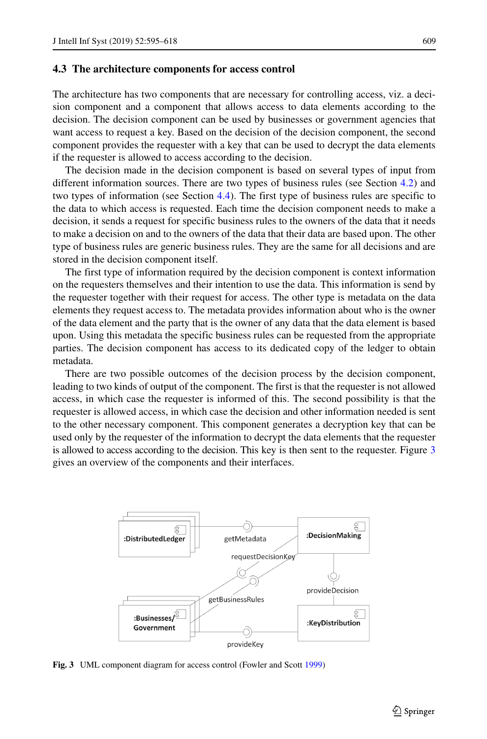#### **4.3 The architecture components for access control**

The architecture has two components that are necessary for controlling access, viz. a decision component and a component that allows access to data elements according to the decision. The decision component can be used by businesses or government agencies that want access to request a key. Based on the decision of the decision component, the second component provides the requester with a key that can be used to decrypt the data elements if the requester is allowed to access according to the decision.

The decision made in the decision component is based on several types of input from different information sources. There are two types of business rules (see Section [4.2\)](#page-12-0) and two types of information (see Section [4.4\)](#page-15-0). The first type of business rules are specific to the data to which access is requested. Each time the decision component needs to make a decision, it sends a request for specific business rules to the owners of the data that it needs to make a decision on and to the owners of the data that their data are based upon. The other type of business rules are generic business rules. They are the same for all decisions and are stored in the decision component itself.

The first type of information required by the decision component is context information on the requesters themselves and their intention to use the data. This information is send by the requester together with their request for access. The other type is metadata on the data elements they request access to. The metadata provides information about who is the owner of the data element and the party that is the owner of any data that the data element is based upon. Using this metadata the specific business rules can be requested from the appropriate parties. The decision component has access to its dedicated copy of the ledger to obtain metadata.

There are two possible outcomes of the decision process by the decision component, leading to two kinds of output of the component. The first is that the requester is not allowed access, in which case the requester is informed of this. The second possibility is that the requester is allowed access, in which case the decision and other information needed is sent to the other necessary component. This component generates a decryption key that can be used only by the requester of the information to decrypt the data elements that the requester is allowed to access according to the decision. This key is then sent to the requester. Figure [3](#page-14-0) gives an overview of the components and their interfaces.

<span id="page-14-0"></span>

**Fig. 3** UML component diagram for access control (Fowler and Scott [1999\)](#page-22-26)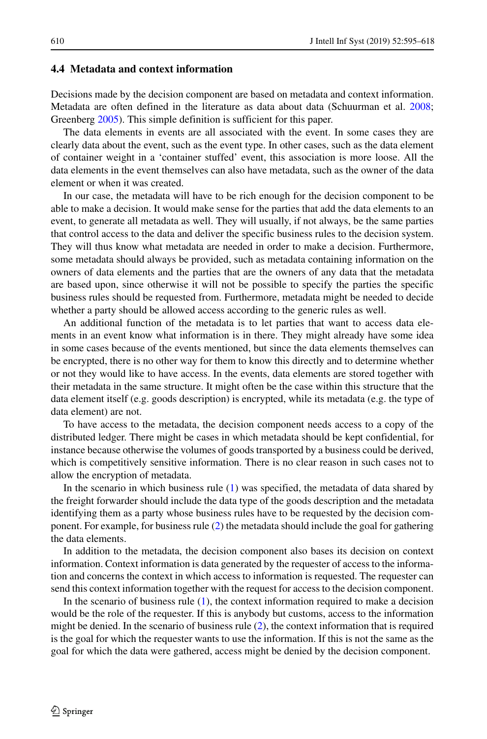#### <span id="page-15-0"></span>**4.4 Metadata and context information**

Decisions made by the decision component are based on metadata and context information. Metadata are often defined in the literature as data about data (Schuurman et al. [2008;](#page-23-24) Greenberg [2005\)](#page-22-27). This simple definition is sufficient for this paper.

The data elements in events are all associated with the event. In some cases they are clearly data about the event, such as the event type. In other cases, such as the data element of container weight in a 'container stuffed' event, this association is more loose. All the data elements in the event themselves can also have metadata, such as the owner of the data element or when it was created.

In our case, the metadata will have to be rich enough for the decision component to be able to make a decision. It would make sense for the parties that add the data elements to an event, to generate all metadata as well. They will usually, if not always, be the same parties that control access to the data and deliver the specific business rules to the decision system. They will thus know what metadata are needed in order to make a decision. Furthermore, some metadata should always be provided, such as metadata containing information on the owners of data elements and the parties that are the owners of any data that the metadata are based upon, since otherwise it will not be possible to specify the parties the specific business rules should be requested from. Furthermore, metadata might be needed to decide whether a party should be allowed access according to the generic rules as well.

An additional function of the metadata is to let parties that want to access data elements in an event know what information is in there. They might already have some idea in some cases because of the events mentioned, but since the data elements themselves can be encrypted, there is no other way for them to know this directly and to determine whether or not they would like to have access. In the events, data elements are stored together with their metadata in the same structure. It might often be the case within this structure that the data element itself (e.g. goods description) is encrypted, while its metadata (e.g. the type of data element) are not.

To have access to the metadata, the decision component needs access to a copy of the distributed ledger. There might be cases in which metadata should be kept confidential, for instance because otherwise the volumes of goods transported by a business could be derived, which is competitively sensitive information. There is no clear reason in such cases not to allow the encryption of metadata.

In the scenario in which business rule  $(1)$  was specified, the metadata of data shared by the freight forwarder should include the data type of the goods description and the metadata identifying them as a party whose business rules have to be requested by the decision component. For example, for business rule [\(2\)](#page-13-1) the metadata should include the goal for gathering the data elements.

In addition to the metadata, the decision component also bases its decision on context information. Context information is data generated by the requester of access to the information and concerns the context in which access to information is requested. The requester can send this context information together with the request for access to the decision component.

In the scenario of business rule [\(1\)](#page-13-0), the context information required to make a decision would be the role of the requester. If this is anybody but customs, access to the information might be denied. In the scenario of business rule [\(2\)](#page-13-1), the context information that is required is the goal for which the requester wants to use the information. If this is not the same as the goal for which the data were gathered, access might be denied by the decision component.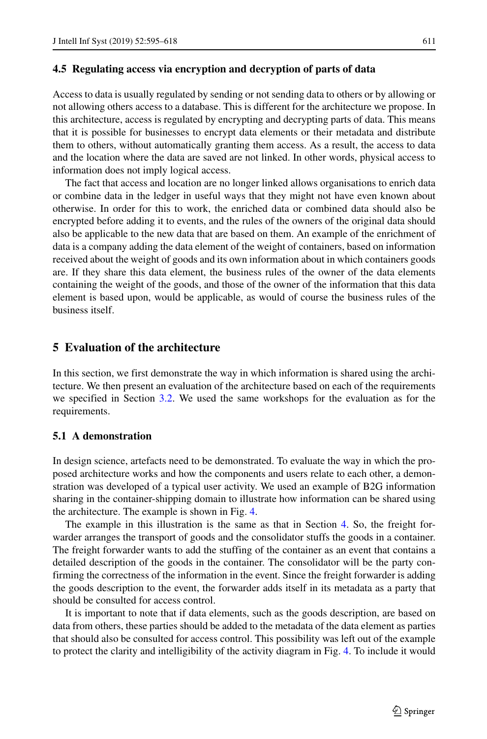### <span id="page-16-2"></span>**4.5 Regulating access via encryption and decryption of parts of data**

Access to data is usually regulated by sending or not sending data to others or by allowing or not allowing others access to a database. This is different for the architecture we propose. In this architecture, access is regulated by encrypting and decrypting parts of data. This means that it is possible for businesses to encrypt data elements or their metadata and distribute them to others, without automatically granting them access. As a result, the access to data and the location where the data are saved are not linked. In other words, physical access to information does not imply logical access.

The fact that access and location are no longer linked allows organisations to enrich data or combine data in the ledger in useful ways that they might not have even known about otherwise. In order for this to work, the enriched data or combined data should also be encrypted before adding it to events, and the rules of the owners of the original data should also be applicable to the new data that are based on them. An example of the enrichment of data is a company adding the data element of the weight of containers, based on information received about the weight of goods and its own information about in which containers goods are. If they share this data element, the business rules of the owner of the data elements containing the weight of the goods, and those of the owner of the information that this data element is based upon, would be applicable, as would of course the business rules of the business itself.

# <span id="page-16-0"></span>**5 Evaluation of the architecture**

In this section, we first demonstrate the way in which information is shared using the architecture. We then present an evaluation of the architecture based on each of the requirements we specified in Section [3.2.](#page-4-1) We used the same workshops for the evaluation as for the requirements.

## <span id="page-16-1"></span>**5.1 A demonstration**

In design science, artefacts need to be demonstrated. To evaluate the way in which the proposed architecture works and how the components and users relate to each other, a demonstration was developed of a typical user activity. We used an example of B2G information sharing in the container-shipping domain to illustrate how information can be shared using the architecture. The example is shown in Fig. [4.](#page-17-0)

The example in this illustration is the same as that in Section [4.](#page-7-0) So, the freight forwarder arranges the transport of goods and the consolidator stuffs the goods in a container. The freight forwarder wants to add the stuffing of the container as an event that contains a detailed description of the goods in the container. The consolidator will be the party confirming the correctness of the information in the event. Since the freight forwarder is adding the goods description to the event, the forwarder adds itself in its metadata as a party that should be consulted for access control.

It is important to note that if data elements, such as the goods description, are based on data from others, these parties should be added to the metadata of the data element as parties that should also be consulted for access control. This possibility was left out of the example to protect the clarity and intelligibility of the activity diagram in Fig. [4.](#page-17-0) To include it would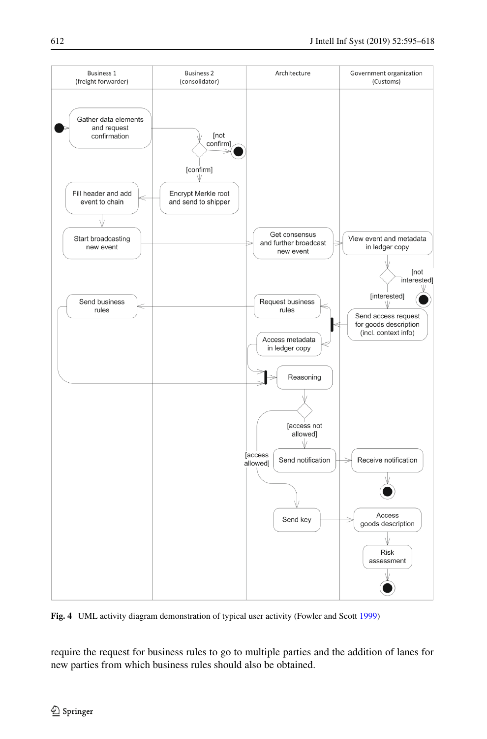<span id="page-17-0"></span>

**Fig. 4** UML activity diagram demonstration of typical user activity (Fowler and Scott [1999\)](#page-22-26)

require the request for business rules to go to multiple parties and the addition of lanes for new parties from which business rules should also be obtained.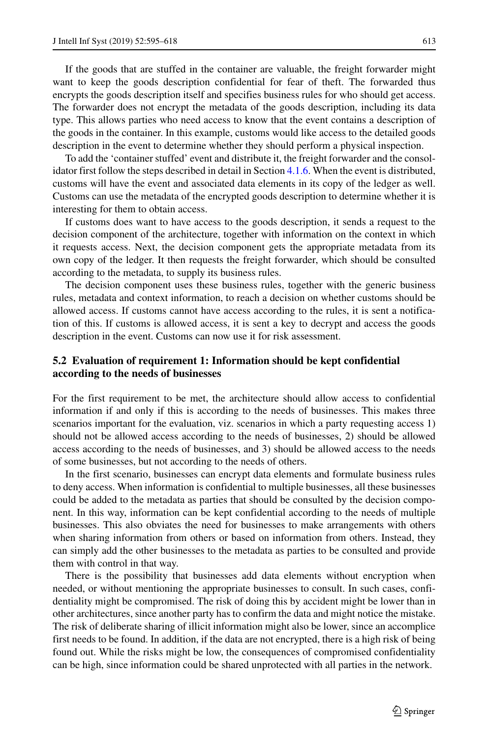If the goods that are stuffed in the container are valuable, the freight forwarder might want to keep the goods description confidential for fear of theft. The forwarded thus encrypts the goods description itself and specifies business rules for who should get access. The forwarder does not encrypt the metadata of the goods description, including its data type. This allows parties who need access to know that the event contains a description of the goods in the container. In this example, customs would like access to the detailed goods description in the event to determine whether they should perform a physical inspection.

To add the 'container stuffed' event and distribute it, the freight forwarder and the consolidator first follow the steps described in detail in Section [4.1.6.](#page-11-1) When the event is distributed, customs will have the event and associated data elements in its copy of the ledger as well. Customs can use the metadata of the encrypted goods description to determine whether it is interesting for them to obtain access.

If customs does want to have access to the goods description, it sends a request to the decision component of the architecture, together with information on the context in which it requests access. Next, the decision component gets the appropriate metadata from its own copy of the ledger. It then requests the freight forwarder, which should be consulted according to the metadata, to supply its business rules.

The decision component uses these business rules, together with the generic business rules, metadata and context information, to reach a decision on whether customs should be allowed access. If customs cannot have access according to the rules, it is sent a notification of this. If customs is allowed access, it is sent a key to decrypt and access the goods description in the event. Customs can now use it for risk assessment.

# **5.2 Evaluation of requirement 1: Information should be kept confidential according to the needs of businesses**

For the first requirement to be met, the architecture should allow access to confidential information if and only if this is according to the needs of businesses. This makes three scenarios important for the evaluation, viz. scenarios in which a party requesting access 1) should not be allowed access according to the needs of businesses, 2) should be allowed access according to the needs of businesses, and 3) should be allowed access to the needs of some businesses, but not according to the needs of others.

In the first scenario, businesses can encrypt data elements and formulate business rules to deny access. When information is confidential to multiple businesses, all these businesses could be added to the metadata as parties that should be consulted by the decision component. In this way, information can be kept confidential according to the needs of multiple businesses. This also obviates the need for businesses to make arrangements with others when sharing information from others or based on information from others. Instead, they can simply add the other businesses to the metadata as parties to be consulted and provide them with control in that way.

There is the possibility that businesses add data elements without encryption when needed, or without mentioning the appropriate businesses to consult. In such cases, confidentiality might be compromised. The risk of doing this by accident might be lower than in other architectures, since another party has to confirm the data and might notice the mistake. The risk of deliberate sharing of illicit information might also be lower, since an accomplice first needs to be found. In addition, if the data are not encrypted, there is a high risk of being found out. While the risks might be low, the consequences of compromised confidentiality can be high, since information could be shared unprotected with all parties in the network.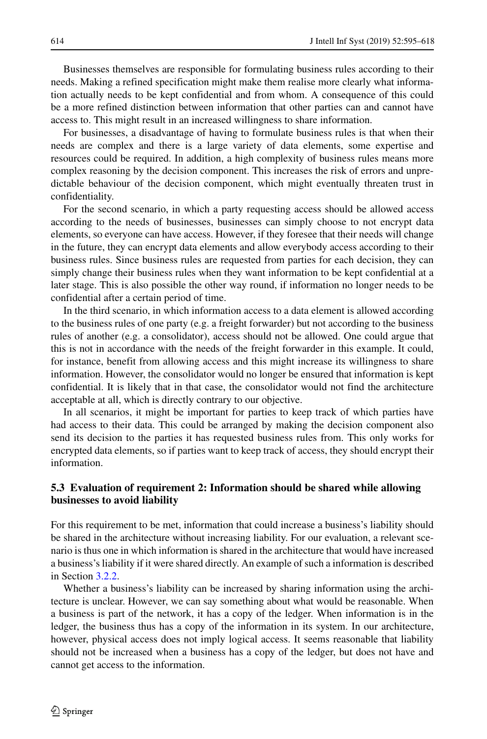Businesses themselves are responsible for formulating business rules according to their needs. Making a refined specification might make them realise more clearly what information actually needs to be kept confidential and from whom. A consequence of this could be a more refined distinction between information that other parties can and cannot have access to. This might result in an increased willingness to share information.

For businesses, a disadvantage of having to formulate business rules is that when their needs are complex and there is a large variety of data elements, some expertise and resources could be required. In addition, a high complexity of business rules means more complex reasoning by the decision component. This increases the risk of errors and unpredictable behaviour of the decision component, which might eventually threaten trust in confidentiality.

For the second scenario, in which a party requesting access should be allowed access according to the needs of businesses, businesses can simply choose to not encrypt data elements, so everyone can have access. However, if they foresee that their needs will change in the future, they can encrypt data elements and allow everybody access according to their business rules. Since business rules are requested from parties for each decision, they can simply change their business rules when they want information to be kept confidential at a later stage. This is also possible the other way round, if information no longer needs to be confidential after a certain period of time.

In the third scenario, in which information access to a data element is allowed according to the business rules of one party (e.g. a freight forwarder) but not according to the business rules of another (e.g. a consolidator), access should not be allowed. One could argue that this is not in accordance with the needs of the freight forwarder in this example. It could, for instance, benefit from allowing access and this might increase its willingness to share information. However, the consolidator would no longer be ensured that information is kept confidential. It is likely that in that case, the consolidator would not find the architecture acceptable at all, which is directly contrary to our objective.

In all scenarios, it might be important for parties to keep track of which parties have had access to their data. This could be arranged by making the decision component also send its decision to the parties it has requested business rules from. This only works for encrypted data elements, so if parties want to keep track of access, they should encrypt their information.

# **5.3 Evaluation of requirement 2: Information should be shared while allowing businesses to avoid liability**

For this requirement to be met, information that could increase a business's liability should be shared in the architecture without increasing liability. For our evaluation, a relevant scenario is thus one in which information is shared in the architecture that would have increased a business's liability if it were shared directly. An example of such a information is described in Section [3.2.2.](#page-5-1)

Whether a business's liability can be increased by sharing information using the architecture is unclear. However, we can say something about what would be reasonable. When a business is part of the network, it has a copy of the ledger. When information is in the ledger, the business thus has a copy of the information in its system. In our architecture, however, physical access does not imply logical access. It seems reasonable that liability should not be increased when a business has a copy of the ledger, but does not have and cannot get access to the information.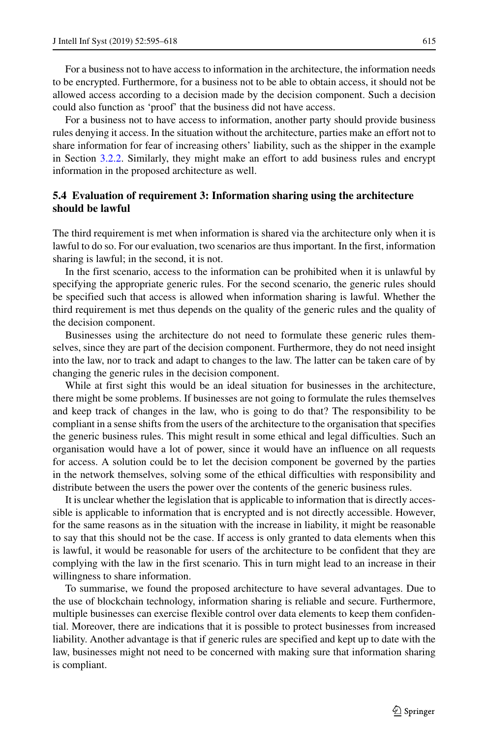For a business not to have access to information in the architecture, the information needs to be encrypted. Furthermore, for a business not to be able to obtain access, it should not be allowed access according to a decision made by the decision component. Such a decision could also function as 'proof' that the business did not have access.

For a business not to have access to information, another party should provide business rules denying it access. In the situation without the architecture, parties make an effort not to share information for fear of increasing others' liability, such as the shipper in the example in Section [3.2.2.](#page-5-1) Similarly, they might make an effort to add business rules and encrypt information in the proposed architecture as well.

# **5.4 Evaluation of requirement 3: Information sharing using the architecture should be lawful**

The third requirement is met when information is shared via the architecture only when it is lawful to do so. For our evaluation, two scenarios are thus important. In the first, information sharing is lawful; in the second, it is not.

In the first scenario, access to the information can be prohibited when it is unlawful by specifying the appropriate generic rules. For the second scenario, the generic rules should be specified such that access is allowed when information sharing is lawful. Whether the third requirement is met thus depends on the quality of the generic rules and the quality of the decision component.

Businesses using the architecture do not need to formulate these generic rules themselves, since they are part of the decision component. Furthermore, they do not need insight into the law, nor to track and adapt to changes to the law. The latter can be taken care of by changing the generic rules in the decision component.

While at first sight this would be an ideal situation for businesses in the architecture, there might be some problems. If businesses are not going to formulate the rules themselves and keep track of changes in the law, who is going to do that? The responsibility to be compliant in a sense shifts from the users of the architecture to the organisation that specifies the generic business rules. This might result in some ethical and legal difficulties. Such an organisation would have a lot of power, since it would have an influence on all requests for access. A solution could be to let the decision component be governed by the parties in the network themselves, solving some of the ethical difficulties with responsibility and distribute between the users the power over the contents of the generic business rules.

It is unclear whether the legislation that is applicable to information that is directly accessible is applicable to information that is encrypted and is not directly accessible. However, for the same reasons as in the situation with the increase in liability, it might be reasonable to say that this should not be the case. If access is only granted to data elements when this is lawful, it would be reasonable for users of the architecture to be confident that they are complying with the law in the first scenario. This in turn might lead to an increase in their willingness to share information.

To summarise, we found the proposed architecture to have several advantages. Due to the use of blockchain technology, information sharing is reliable and secure. Furthermore, multiple businesses can exercise flexible control over data elements to keep them confidential. Moreover, there are indications that it is possible to protect businesses from increased liability. Another advantage is that if generic rules are specified and kept up to date with the law, businesses might not need to be concerned with making sure that information sharing is compliant.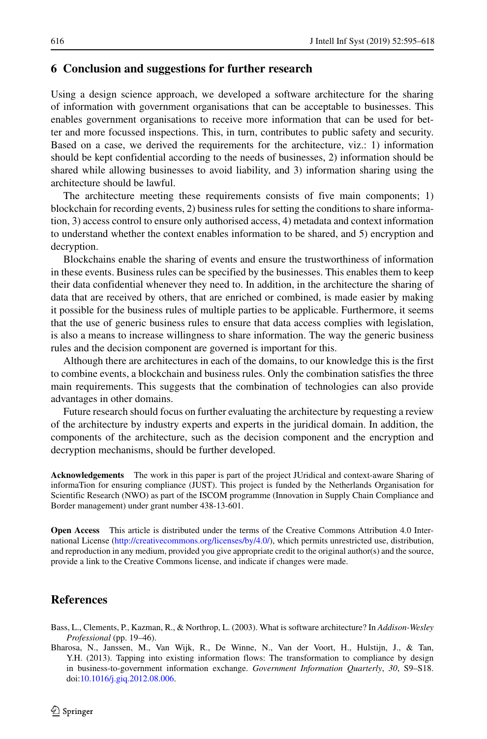## **6 Conclusion and suggestions for further research**

Using a design science approach, we developed a software architecture for the sharing of information with government organisations that can be acceptable to businesses. This enables government organisations to receive more information that can be used for better and more focussed inspections. This, in turn, contributes to public safety and security. Based on a case, we derived the requirements for the architecture, viz.: 1) information should be kept confidential according to the needs of businesses, 2) information should be shared while allowing businesses to avoid liability, and 3) information sharing using the architecture should be lawful.

The architecture meeting these requirements consists of five main components; 1) blockchain for recording events, 2) business rules for setting the conditions to share information, 3) access control to ensure only authorised access, 4) metadata and context information to understand whether the context enables information to be shared, and 5) encryption and decryption.

Blockchains enable the sharing of events and ensure the trustworthiness of information in these events. Business rules can be specified by the businesses. This enables them to keep their data confidential whenever they need to. In addition, in the architecture the sharing of data that are received by others, that are enriched or combined, is made easier by making it possible for the business rules of multiple parties to be applicable. Furthermore, it seems that the use of generic business rules to ensure that data access complies with legislation, is also a means to increase willingness to share information. The way the generic business rules and the decision component are governed is important for this.

Although there are architectures in each of the domains, to our knowledge this is the first to combine events, a blockchain and business rules. Only the combination satisfies the three main requirements. This suggests that the combination of technologies can also provide advantages in other domains.

Future research should focus on further evaluating the architecture by requesting a review of the architecture by industry experts and experts in the juridical domain. In addition, the components of the architecture, such as the decision component and the encryption and decryption mechanisms, should be further developed.

**Acknowledgements** The work in this paper is part of the project JUridical and context-aware Sharing of informaTion for ensuring compliance (JUST). This project is funded by the Netherlands Organisation for Scientific Research (NWO) as part of the ISCOM programme (Innovation in Supply Chain Compliance and Border management) under grant number 438-13-601.

**Open Access** This article is distributed under the terms of the Creative Commons Attribution 4.0 International License [\(http://creativecommons.org/licenses/by/4.0/\)](http://creativecommons.org/licenses/by/4.0/), which permits unrestricted use, distribution, and reproduction in any medium, provided you give appropriate credit to the original author(s) and the source, provide a link to the Creative Commons license, and indicate if changes were made.

# **References**

<span id="page-21-1"></span>Bass, L., Clements, P., Kazman, R., & Northrop, L. (2003). What is software architecture? In *Addison-Wesley Professional* (pp. 19–46).

<span id="page-21-0"></span>Bharosa, N., Janssen, M., Van Wijk, R., De Winne, N., Van der Voort, H., Hulstijn, J., & Tan, Y.H. (2013). Tapping into existing information flows: The transformation to compliance by design in business-to-government information exchange. *Government Information Quarterly*, *30*, S9–S18. doi[:10.1016/j.giq.2012.08.006.](http://dx.doi.org/10.1016/j.giq.2012.08.006)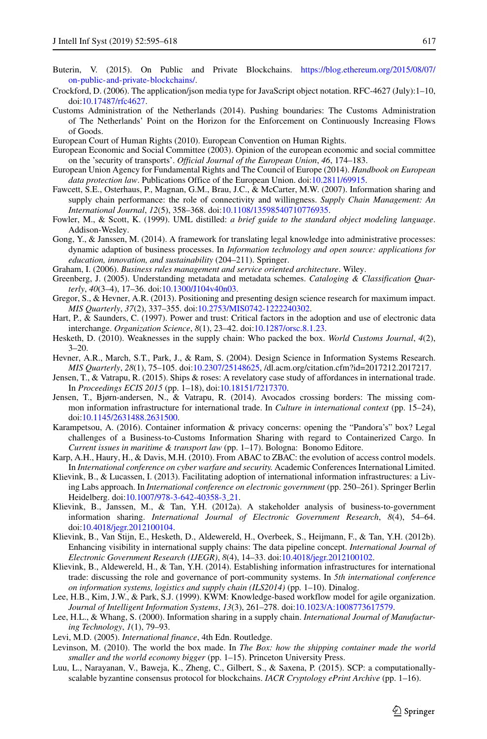- <span id="page-22-20"></span>Buterin, V. (2015). On Public and Private Blockchains. [https://blog.ethereum.org/2015/08/07/](https://blog.ethereum.org/2015/08/07/on-public-and-private-blockchains/) [on-public-and-private-blockchains/.](https://blog.ethereum.org/2015/08/07/on-public-and-private-blockchains/)
- <span id="page-22-21"></span>Crockford, D. (2006). The application/json media type for JavaScript object notation. RFC-4627 (July):1–10, doi[:10.17487/rfc4627.](http://dx.doi.org/10.17487/rfc4627)
- <span id="page-22-10"></span>Customs Administration of the Netherlands (2014). Pushing boundaries: The Customs Administration of The Netherlands' Point on the Horizon for the Enforcement on Continuously Increasing Flows of Goods.
- <span id="page-22-18"></span>European Court of Human Rights (2010). European Convention on Human Rights.
- <span id="page-22-9"></span>European Economic and Social Committee (2003). Opinion of the european economic and social committee on the 'security of transports'. *Official Journal of the European Union*, *46*, 174–183.
- <span id="page-22-19"></span>European Union Agency for Fundamental Rights and The Council of Europe (2014). *Handbook on European data protection law*. Publications Office of the European Union. doi[:10.2811/69915.](http://dx.doi.org/10.2811/69915)
- <span id="page-22-0"></span>Fawcett, S.E., Osterhaus, P., Magnan, G.M., Brau, J.C., & McCarter, M.W. (2007). Information sharing and supply chain performance: the role of connectivity and willingness. *Supply Chain Management: An International Journal*, *12*(5), 358–368. doi[:10.1108/13598540710776935.](http://dx.doi.org/10.1108/13598540710776935)
- <span id="page-22-26"></span>Fowler, M., & Scott, K. (1999). UML distilled: *a brief guide to the standard object modeling language*. Addison-Wesley.
- <span id="page-22-17"></span>Gong, Y., & Janssen, M. (2014). A framework for translating legal knowledge into administrative processes: dynamic adaption of business processes. In *Information technology and open source: applications for education, innovation, and sustainability* (204–211). Springer.
- <span id="page-22-23"></span>Graham, I. (2006). *Business rules management and service oriented architecture*. Wiley.
- <span id="page-22-27"></span>Greenberg, J. (2005). Understanding metadata and metadata schemes. *Cataloging & Classification Quarterly*, *40*(3–4), 17–36. doi[:10.1300/J104v40n03.](http://dx.doi.org/10.1300/J104v40n03)
- <span id="page-22-5"></span>Gregor, S., & Hevner, A.R. (2013). Positioning and presenting design science research for maximum impact. *MIS Quarterly*, *37*(2), 337–355. doi[:10.2753/MIS0742-1222240302.](http://dx.doi.org/10.2753/MIS0742-1222240302)
- <span id="page-22-11"></span>Hart, P., & Saunders, C. (1997). Power and trust: Critical factors in the adoption and use of electronic data interchange. *Organization Science*, *8*(1), 23–42. doi[:10.1287/orsc.8.1.23.](http://dx.doi.org/10.1287/orsc.8.1.23)
- <span id="page-22-7"></span>Hesketh, D. (2010). Weaknesses in the supply chain: Who packed the box. *World Customs Journal*, *4*(2),  $3 - 20.$
- <span id="page-22-4"></span>Hevner, A.R., March, S.T., Park, J., & Ram, S. (2004). Design Science in Information Systems Research. *MIS Quarterly*, *28*(1), 75–105. doi[:10.2307/25148625,](http://dx.doi.org/10.2307/25148625) /dl.acm.org/citation.cfm?id=2017212.2017217.
- <span id="page-22-13"></span>Jensen, T., & Vatrapu, R. (2015). Ships & roses: A revelatory case study of affordances in international trade. In *Proceedings ECIS 2015* (pp. 1–18), doi[:10.18151/7217370.](http://dx.doi.org/10.18151/7217370)
- <span id="page-22-12"></span>Jensen, T., Bjørn-andersen, N., & Vatrapu, R. (2014). Avocados crossing borders: The missing common information infrastructure for international trade. In *Culture in international context* (pp. 15–24), doi[:10.1145/2631488.2631500.](http://dx.doi.org/10.1145/2631488.2631500)
- <span id="page-22-16"></span>Karampetsou, A. (2016). Container information & privacy concerns: opening the "Pandora's" box? Legal challenges of a Business-to-Customs Information Sharing with regard to Containerized Cargo. In *Current issues in maritime & transport law* (pp. 1–17). Bologna: Bonomo Editore.
- <span id="page-22-25"></span>Karp, A.H., Haury, H., & Davis, M.H. (2010). From ABAC to ZBAC: the evolution of access control models. In *International conference on cyber warfare and security.* Academic Conferences International Limited.
- <span id="page-22-3"></span>Klievink, B., & Lucassen, I. (2013). Facilitating adoption of international information infrastructures: a Living Labs approach. In *International conference on electronic government* (pp. 250–261). Springer Berlin Heidelberg. doi[:10.1007/978-3-642-40358-3](http://dx.doi.org/10.1007/978-3-642-40358-3_21) 21.
- <span id="page-22-1"></span>Klievink, B., Janssen, M., & Tan, Y.H. (2012a). A stakeholder analysis of business-to-government information sharing. *International Journal of Electronic Government Research*, *8*(4), 54–64. doi[:10.4018/jegr.2012100104.](http://dx.doi.org/10.4018/jegr.2012100104)
- <span id="page-22-2"></span>Klievink, B., Van Stijn, E., Hesketh, D., Aldewereld, H., Overbeek, S., Heijmann, F., & Tan, Y.H. (2012b). Enhancing visibility in international supply chains: The data pipeline concept. *International Journal of Electronic Government Research (IJEGR)*, *8*(4), 14–33. doi[:10.4018/jegr.2012100102.](http://dx.doi.org/10.4018/jegr.2012100102)
- <span id="page-22-14"></span>Klievink, B., Aldewereld, H., & Tan, Y.H. (2014). Establishing information infrastructures for international trade: discussing the role and governance of port-community systems. In *5th international conference on information systems, logistics and supply chain (ILS2014)* (pp. 1–10). Dinalog.
- <span id="page-22-24"></span>Lee, H.B., Kim, J.W., & Park, S.J. (1999). KWM: Knowledge-based workflow model for agile organization. *Journal of Intelligent Information Systems*, *13*(3), 261–278. doi[:10.1023/A:1008773617579.](http://dx.doi.org/10.1023/A:1008773617579)
- <span id="page-22-8"></span>Lee, H.L., & Whang, S. (2000). Information sharing in a supply chain. *International Journal of Manufacturing Technology*, *1*(1), 79–93.
- <span id="page-22-15"></span>Levi, M.D. (2005). *International finance*, 4th Edn. Routledge.
- <span id="page-22-6"></span>Levinson, M. (2010). The world the box made. In *The Box: how the shipping container made the world smaller and the world economy bigger* (pp. 1–15). Princeton University Press.
- <span id="page-22-22"></span>Luu, L., Narayanan, V., Baweja, K., Zheng, C., Gilbert, S., & Saxena, P. (2015). SCP: a computationallyscalable byzantine consensus protocol for blockchains. *IACR Cryptology ePrint Archive* (pp. 1–16).